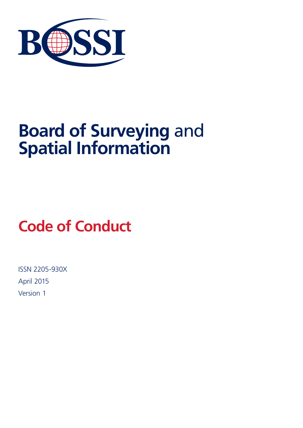

# **Board of Surveying** and **Spatial Information**

# **Code of Conduct**

ISSN 2205-930X April 2015 Version 1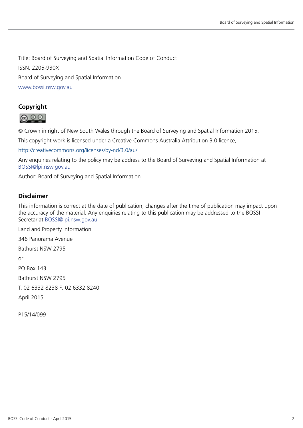Title: Board of Surveying and Spatial Information Code of Conduct ISSN: 2205-930X Board of Surveying and Spatial Information www.bossi.nsw.gov.au

#### **Copyright**



© Crown in right of New South Wales through the Board of Surveying and Spatial Information 2015.

This copyright work is licensed under a Creative Commons Australia Attribution 3.0 licence,

[http://creativecommons.org/licenses/by-nd/3.0/au/](http://creativecommons.org/licenses/by-nd/3.0/au) 

Any enquiries relating to the policy may be address to the Board of Surveying and Spatial Information at [BOSSI@lpi.nsw.gov.au](mailto:BOSSI%40lpi.nsw.gov.au?subject=)

Author: Board of Surveying and Spatial Information

#### **Disclaimer**

This information is correct at the date of publication; changes after the time of publication may impact upon the accuracy of the material. Any enquiries relating to this publication may be addressed to the BOSSI Secretariat BOSSI@lpi.nsw.gov.au

Land and Property Information

346 Panorama Avenue

Bathurst NSW 2795

or

PO Box 143

Bathurst NSW 2795

T: 02 6332 8238 F: 02 6332 8240

April 2015

P15/14/099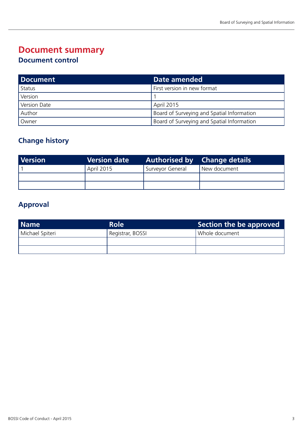## **Document summary**

#### **Document control**

| <b>Document</b> | Date amended                                      |
|-----------------|---------------------------------------------------|
| Status          | First version in new format                       |
| Version         |                                                   |
| Version Date    | April 2015                                        |
| Author          | <b>Board of Surveying and Spatial Information</b> |
| Owner           | Board of Surveying and Spatial Information        |

#### **Change history**

| <b>Version</b> | Version date      | <b>Authorised by Change details</b> |              |
|----------------|-------------------|-------------------------------------|--------------|
|                | <b>April 2015</b> | Surveyor General                    | New document |
|                |                   |                                     |              |
|                |                   |                                     |              |

### **Approval**

| <b>Name</b>     | <b>Role</b>      | Section the be approved |
|-----------------|------------------|-------------------------|
| Michael Spiteri | Registrar, BOSSI | Whole document          |
|                 |                  |                         |
|                 |                  |                         |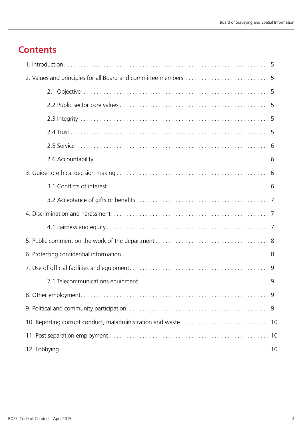## **Contents**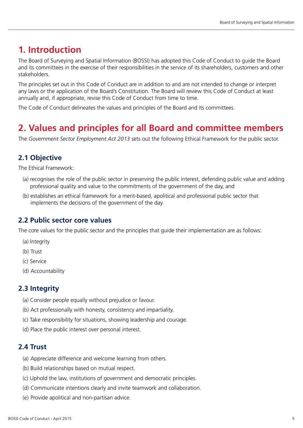## <span id="page-4-0"></span>**1. Introduction**

The Board of Surveying and Spatial Information (BOSSI) has adopted this Code of Conduct to guide the Board and its committees in the exercise of their responsibilities in the service of its shareholders, customers and other stakeholders.

The principles set out in this Code of Conduct are in addition to and are not intended to change or interpret any laws or the application of the Board's Constitution. The Board will review this Code of Conduct at least annually and, if appropriate, revise this Code of Conduct from time to time.

The Code of Conduct delineates the values and principles of the Board and its committees.

## **2. Values and principles for all Board and committee members**

The *Government Sector Employment Act 2013* sets out the following Ethical Framework for the public sector.

#### **2.1 Objective**

The Ethical Framework:

- (a) recognises the role of the public sector in preserving the public interest, defending public value and adding professional quality and value to the commitments of the government of the day, and
- (b) establishes an ethical framework for a merit-based, apolitical and professional public sector that implements the decisions of the government of the day.

#### **2.2 Public sector core values**

The core values for the public sector and the principles that guide their implementation are as follows:

- (a) Integrity
- (b) Trust
- (c) Service
- (d) Accountability

#### **2.3 Integrity**

- (a) Consider people equally without prejudice or favour.
- (b) Act professionally with honesty, consistency and impartiality.
- (c) Take responsibility for situations, showing leadership and courage.
- (d) Place the public interest over personal interest.

#### **2.4 Trust**

- (a) Appreciate difference and welcome learning from others.
- (b) Build relationships based on mutual respect.
- (c) Uphold the law, institutions of government and democratic principles.
- (d) Communicate intentions clearly and invite teamwork and collaboration.
- (e) Provide apolitical and non-partisan advice.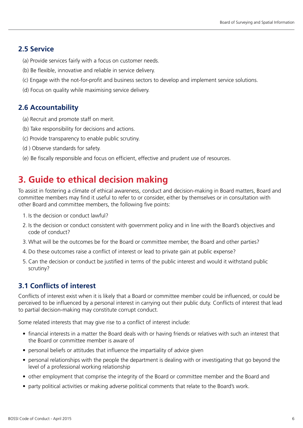#### <span id="page-5-0"></span>**2.5 Service**

- (a) Provide services fairly with a focus on customer needs.
- (b) Be flexible, innovative and reliable in service delivery.
- (c) Engage with the not-for-profit and business sectors to develop and implement service solutions.
- (d) Focus on quality while maximising service delivery.

#### **2.6 Accountability**

- (a) Recruit and promote staff on merit.
- (b) Take responsibility for decisions and actions.
- (c) Provide transparency to enable public scrutiny.
- (d ) Observe standards for safety.
- (e) Be fiscally responsible and focus on efficient, effective and prudent use of resources.

## **3. Guide to ethical decision making**

To assist in fostering a climate of ethical awareness, conduct and decision-making in Board matters, Board and committee members may find it useful to refer to or consider, either by themselves or in consultation with other Board and committee members, the following five points:

- 1. Is the decision or conduct lawful?
- 2. Is the decision or conduct consistent with government policy and in line with the Board's objectives and code of conduct?
- 3. What will be the outcomes be for the Board or committee member, the Board and other parties?
- 4. Do these outcomes raise a conflict of interest or lead to private gain at public expense?
- 5. Can the decision or conduct be justified in terms of the public interest and would it withstand public scrutiny?

#### **3.1 Conflicts of interest**

Conflicts of interest exist when it is likely that a Board or committee member could be influenced, or could be perceived to be influenced by a personal interest in carrying out their public duty. Conflicts of interest that lead to partial decision-making may constitute corrupt conduct.

Some related interests that may give rise to a conflict of interest include:

- financial interests in a matter the Board deals with or having friends or relatives with such an interest that the Board or committee member is aware of
- personal beliefs or attitudes that influence the impartiality of advice given
- personal relationships with the people the department is dealing with or investigating that go beyond the level of a professional working relationship
- other employment that comprise the integrity of the Board or committee member and the Board and
- party political activities or making adverse political comments that relate to the Board's work.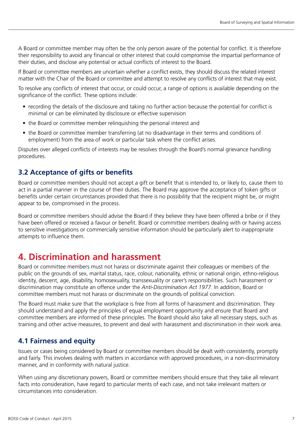<span id="page-6-0"></span>A Board or committee member may often be the only person aware of the potential for conflict. It is therefore their responsibility to avoid any financial or other interest that could compromise the impartial performance of their duties, and disclose any potential or actual conflicts of interest to the Board.

If Board or committee members are uncertain whether a conflict exists, they should discuss the related interest matter with the Chair of the Board or committee and attempt to resolve any conflicts of interest that may exist.

To resolve any conflicts of interest that occur, or could occur, a range of options is available depending on the significance of the conflict. These options include:

- recording the details of the disclosure and taking no further action because the potential for conflict is minimal or can be eliminated by disclosure or effective supervision
- the Board or committee member relinquishing the personal interest and
- the Board or committee member transferring (at no disadvantage in their terms and conditions of employment) from the area of work or particular task where the conflict arises.

Disputes over alleged conflicts of interests may be resolves through the Board's normal grievance handling procedures.

#### **3.2 Acceptance of gifts or benefits**

Board or committee members should not accept a gift or benefit that is intended to, or likely to, cause them to act in a partial manner in the course of their duties. The Board may approve the acceptance of token gifts or benefits under certain circumstances provided that there is no possibility that the recipient might be, or might appear to be, compromised in the process.

Board or committee members should advise the Board if they believe they have been offered a bribe or if they have been offered or received a favour or benefit. Board or committee members dealing with or having access to sensitive investigations or commercially sensitive information should be particularly alert to inappropriate attempts to influence them.

## **4. Discrimination and harassment**

Board or committee members must not harass or discriminate against their colleagues or members of the public on the grounds of sex, marital status, race, colour, nationality, ethnic or national origin, ethno-religious identity, descent, age, disability, homosexuality, transsexuality or carer's responsibilities. Such harassment or discrimination may constitute an offence under the *Anti-Discrimination Act 1977*. In addition, Board or committee members must not harass or discriminate on the grounds of political conviction.

The Board must make sure that the workplace is free from all forms of harassment and discrimination. They should understand and apply the principles of equal employment opportunity and ensure that Board and committee members are informed of these principles. The Board should also take all necessary steps, such as training and other active measures, to prevent and deal with harassment and discrimination in their work area.

#### **4.1 Fairness and equity**

Issues or cases being considered by Board or committee members should be dealt with consistently, promptly and fairly. This involves dealing with matters in accordance with approved procedures, in a non-discriminatory manner, and in conformity with natural justice.

When using any discretionary powers, Board or committee members should ensure that they take all relevant facts into consideration, have regard to particular merits of each case, and not take irrelevant matters or circumstances into consideration.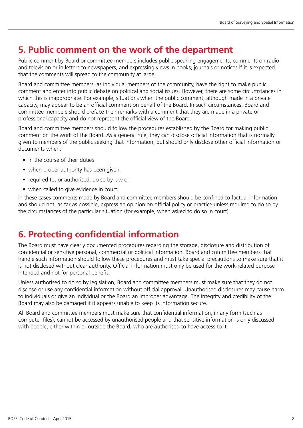## <span id="page-7-0"></span>**5. Public comment on the work of the department**

Public comment by Board or committee members includes public speaking engagements, comments on radio and television or in letters to newspapers, and expressing views in books, journals or notices if it is expected that the comments will spread to the community at large.

Board and committee members, as individual members of the community, have the right to make public comment and enter into public debate on political and social issues. However, there are some circumstances in which this is inappropriate. For example, situations when the public comment, although made in a private capacity, may appear to be an official comment on behalf of the Board. In such circumstances, Board and committee members should preface their remarks with a comment that they are made in a private or professional capacity and do not represent the official view of the Board.

Board and committee members should follow the procedures established by the Board for making public comment on the work of the Board. As a general rule, they can disclose official information that is normally given to members of the public seeking that information, but should only disclose other official information or documents when:

- in the course of their duties
- when proper authority has been given
- required to, or authorised, do so by law or
- when called to give evidence in court.

In these cases comments made by Board and committee members should be confined to factual information and should not, as far as possible, express an opinion on official policy or practice unless required to do so by the circumstances of the particular situation (for example, when asked to do so in court).

## **6. Protecting confidential information**

The Board must have clearly documented procedures regarding the storage, disclosure and distribution of confidential or sensitive personal, commercial or political information. Board and committee members that handle such information should follow these procedures and must take special precautions to make sure that it is not disclosed without clear authority. Official information must only be used for the work-related purpose intended and not for personal benefit.

Unless authorised to do so by legislation, Board and committee members must make sure that they do not disclose or use any confidential information without official approval. Unauthorised disclosures may cause harm to individuals or give an individual or the Board an improper advantage. The integrity and credibility of the Board may also be damaged if it appears unable to keep its information secure.

All Board and committee members must make sure that confidential information, in any form (such as computer files), cannot be accessed by unauthorised people and that sensitive information is only discussed with people, either within or outside the Board, who are authorised to have access to it.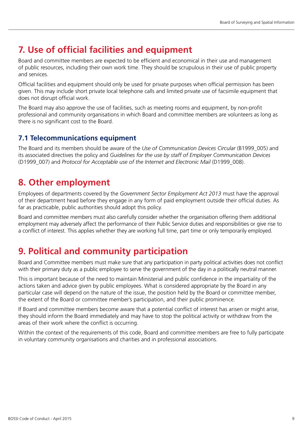# <span id="page-8-0"></span>**7. Use of official facilities and equipment**

Board and committee members are expected to be efficient and economical in their use and management of public resources, including their own work time. They should be scrupulous in their use of public property and services.

Official facilities and equipment should only be used for private purposes when official permission has been given. This may include short private local telephone calls and limited private use of facsimile equipment that does not disrupt official work.

The Board may also approve the use of facilities, such as meeting rooms and equipment, by non-profit professional and community organisations in which Board and committee members are volunteers as long as there is no significant cost to the Board.

#### **7.1 Telecommunications equipment**

The Board and its members should be aware of the *Use of Communication Devices Circular* (B1999\_005) and its associated directives the policy and *Guidelines for the use by staff of Employer Communication Devices*  (D1999\_007) and *Protocol for Acceptable use of the Internet and Electronic Mail* (D1999\_008).

### **8. Other employment**

Employees of departments covered by the *Government Sector Employment Act 2013* must have the approval of their department head before they engage in any form of paid employment outside their official duties. As far as practicable, public authorities should adopt this policy.

Board and committee members must also carefully consider whether the organisation offering them additional employment may adversely affect the performance of their Public Service duties and responsibilities or give rise to a conflict of interest. This applies whether they are working full time, part time or only temporarily employed.

# **9. Political and community participation**

Board and Committee members must make sure that any participation in party political activities does not conflict with their primary duty as a public employee to serve the government of the day in a politically neutral manner.

This is important because of the need to maintain Ministerial and public confidence in the impartiality of the actions taken and advice given by public employees. What is considered appropriate by the Board in any particular case will depend on the nature of the issue, the position held by the Board or committee member, the extent of the Board or committee member's participation, and their public prominence.

If Board and committee members become aware that a potential conflict of interest has arisen or might arise, they should inform the Board immediately and may have to stop the political activity or withdraw from the areas of their work where the conflict is occurring.

Within the context of the requirements of this code, Board and committee members are free to fully participate in voluntary community organisations and charities and in professional associations.